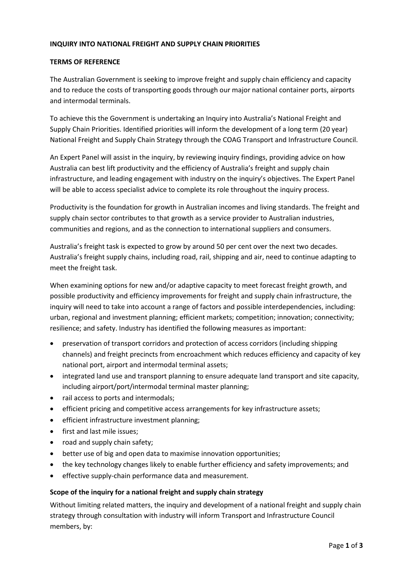## **INQUIRY INTO NATIONAL FREIGHT AND SUPPLY CHAIN PRIORITIES**

## **TERMS OF REFERENCE**

The Australian Government is seeking to improve freight and supply chain efficiency and capacity and to reduce the costs of transporting goods through our major national container ports, airports and intermodal terminals.

To achieve this the Government is undertaking an Inquiry into Australia's National Freight and Supply Chain Priorities. Identified priorities will inform the development of a long term (20 year) National Freight and Supply Chain Strategy through the COAG Transport and Infrastructure Council.

An Expert Panel will assist in the inquiry, by reviewing inquiry findings, providing advice on how Australia can best lift productivity and the efficiency of Australia's freight and supply chain infrastructure, and leading engagement with industry on the inquiry's objectives. The Expert Panel will be able to access specialist advice to complete its role throughout the inquiry process.

Productivity is the foundation for growth in Australian incomes and living standards. The freight and supply chain sector contributes to that growth as a service provider to Australian industries, communities and regions, and as the connection to international suppliers and consumers.

Australia's freight task is expected to grow by around 50 per cent over the next two decades. Australia's freight supply chains, including road, rail, shipping and air, need to continue adapting to meet the freight task.

When examining options for new and/or adaptive capacity to meet forecast freight growth, and possible productivity and efficiency improvements for freight and supply chain infrastructure, the inquiry will need to take into account a range of factors and possible interdependencies, including: urban, regional and investment planning; efficient markets; competition; innovation; connectivity; resilience; and safety. Industry has identified the following measures as important:

- preservation of transport corridors and protection of access corridors (including shipping channels) and freight precincts from encroachment which reduces efficiency and capacity of key national port, airport and intermodal terminal assets;
- integrated land use and transport planning to ensure adequate land transport and site capacity, including airport/port/intermodal terminal master planning;
- rail access to ports and intermodals;
- efficient pricing and competitive access arrangements for key infrastructure assets;
- efficient infrastructure investment planning;
- first and last mile issues;
- road and supply chain safety;
- better use of big and open data to maximise innovation opportunities;
- the key technology changes likely to enable further efficiency and safety improvements; and
- effective supply-chain performance data and measurement.

## **Scope of the inquiry for a national freight and supply chain strategy**

Without limiting related matters, the inquiry and development of a national freight and supply chain strategy through consultation with industry will inform Transport and Infrastructure Council members, by: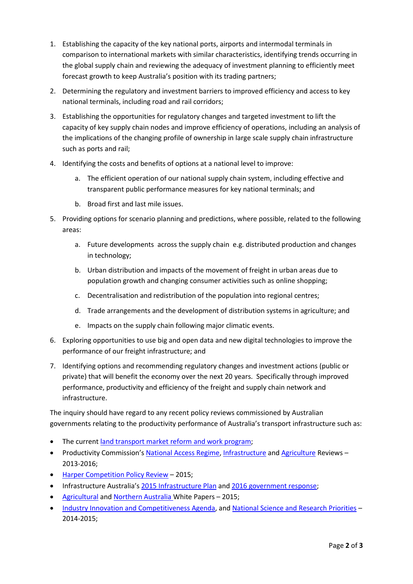- 1. Establishing the capacity of the key national ports, airports and intermodal terminals in comparison to international markets with similar characteristics, identifying trends occurring in the global supply chain and reviewing the adequacy of investment planning to efficiently meet forecast growth to keep Australia's position with its trading partners;
- 2. Determining the regulatory and investment barriers to improved efficiency and access to key national terminals, including road and rail corridors;
- 3. Establishing the opportunities for regulatory changes and targeted investment to lift the capacity of key supply chain nodes and improve efficiency of operations, including an analysis of the implications of the changing profile of ownership in large scale supply chain infrastructure such as ports and rail;
- 4. Identifying the costs and benefits of options at a national level to improve:
	- a. The efficient operation of our national supply chain system, including effective and transparent public performance measures for key national terminals; and
	- b. Broad first and last mile issues.
- 5. Providing options for scenario planning and predictions, where possible, related to the following areas:
	- a. Future developments across the supply chain e.g. distributed production and changes in technology;
	- b. Urban distribution and impacts of the movement of freight in urban areas due to population growth and changing consumer activities such as online shopping;
	- c. Decentralisation and redistribution of the population into regional centres;
	- d. Trade arrangements and the development of distribution systems in agriculture; and
	- e. Impacts on the supply chain following major climatic events.
- 6. Exploring opportunities to use big and open data and new digital technologies to improve the performance of our freight infrastructure; and
- 7. Identifying options and recommending regulatory changes and investment actions (public or private) that will benefit the economy over the next 20 years. Specifically through improved performance, productivity and efficiency of the freight and supply chain network and infrastructure.

The inquiry should have regard to any recent policy reviews commissioned by Australian governments relating to the productivity performance of Australia's transport infrastructure such as:

- The curren[t land transport market reform and work program;](http://transportinfrastructurecouncil.gov.au/publications/files/HVRR_What_we_are_doing_and_why_we_are_doing_it_16082016.pdf)
- Productivity Commission's [National Access Regime,](http://www.pc.gov.au/inquiries/completed/access-regime) [Infrastructure](http://www.pc.gov.au/inquiries/completed/infrastructure/report) an[d Agriculture](http://www.pc.gov.au/inquiries/completed/agriculture/report/agriculture.pdf) Reviews 2013-2016;
- [Harper Competition Policy Review](http://competitionpolicyreview.gov.au/final-report/) 2015;
- Infrastructure Australia's [2015 Infrastructure Plan](http://infrastructureaustralia.gov.au/policy-publications/publications/Australian-Infrastructure-Plan.aspx) and [2016 government response;](http://transportinfrastructurecouncil.gov.au/publications/files/Australian_Government_Response_to_Australian_Infrastructure_Plan_November_2016.pdf)
- [Agricultura](http://agwhitepaper.agriculture.gov.au/SiteCollectionDocuments/ag-competitiveness-white-paper.pdf)l and [Northern Australia](http://northernaustralia.gov.au/files/files/NAWP-FullReport.pdf) White Papers 2015;
- [Industry Innovation and Competitiveness Agenda,](https://www.dpmc.gov.au/sites/default/files/publications/industry_innovation_competitiveness_agenda.pdf) an[d National Science and Research Priorities](http://www.science.gov.au/scienceGov/ScienceAndResearchPriorities/Pages/default.aspx) 2014-2015;